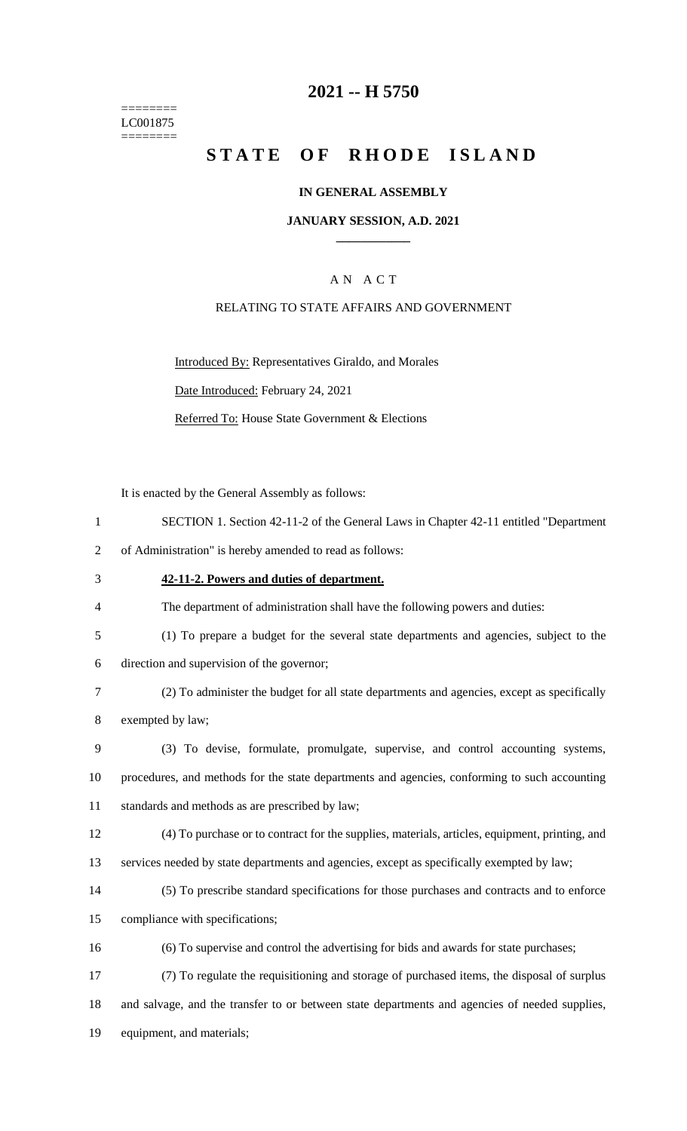======== LC001875  $=$ 

# **-- H 5750**

# STATE OF RHODE ISLAND

## **IN GENERAL ASSEMBLY**

### **JANUARY SESSION, A.D. 2021 \_\_\_\_\_\_\_\_\_\_\_\_**

# A N A C T

### RELATING TO STATE AFFAIRS AND GOVERNMENT

Introduced By: Representatives Giraldo, and Morales Date Introduced: February 24, 2021 Referred To: House State Government & Elections

It is enacted by the General Assembly as follows:

| $\mathbf{1}$   | SECTION 1. Section 42-11-2 of the General Laws in Chapter 42-11 entitled "Department           |
|----------------|------------------------------------------------------------------------------------------------|
| $\overline{2}$ | of Administration" is hereby amended to read as follows:                                       |
| 3              | 42-11-2. Powers and duties of department.                                                      |
| 4              | The department of administration shall have the following powers and duties:                   |
| 5              | (1) To prepare a budget for the several state departments and agencies, subject to the         |
| 6              | direction and supervision of the governor;                                                     |
| 7              | (2) To administer the budget for all state departments and agencies, except as specifically    |
| 8              | exempted by law;                                                                               |
| 9              | (3) To devise, formulate, promulgate, supervise, and control accounting systems,               |
| 10             | procedures, and methods for the state departments and agencies, conforming to such accounting  |
| 11             | standards and methods as are prescribed by law;                                                |
| 12             | (4) To purchase or to contract for the supplies, materials, articles, equipment, printing, and |
| 13             | services needed by state departments and agencies, except as specifically exempted by law;     |
| 14             | (5) To prescribe standard specifications for those purchases and contracts and to enforce      |
| 15             | compliance with specifications;                                                                |
| 16             | (6) To supervise and control the advertising for bids and awards for state purchases;          |
| 17             | (7) To regulate the requisitioning and storage of purchased items, the disposal of surplus     |
| 18             | and salvage, and the transfer to or between state departments and agencies of needed supplies, |
| 19             | equipment, and materials;                                                                      |
|                |                                                                                                |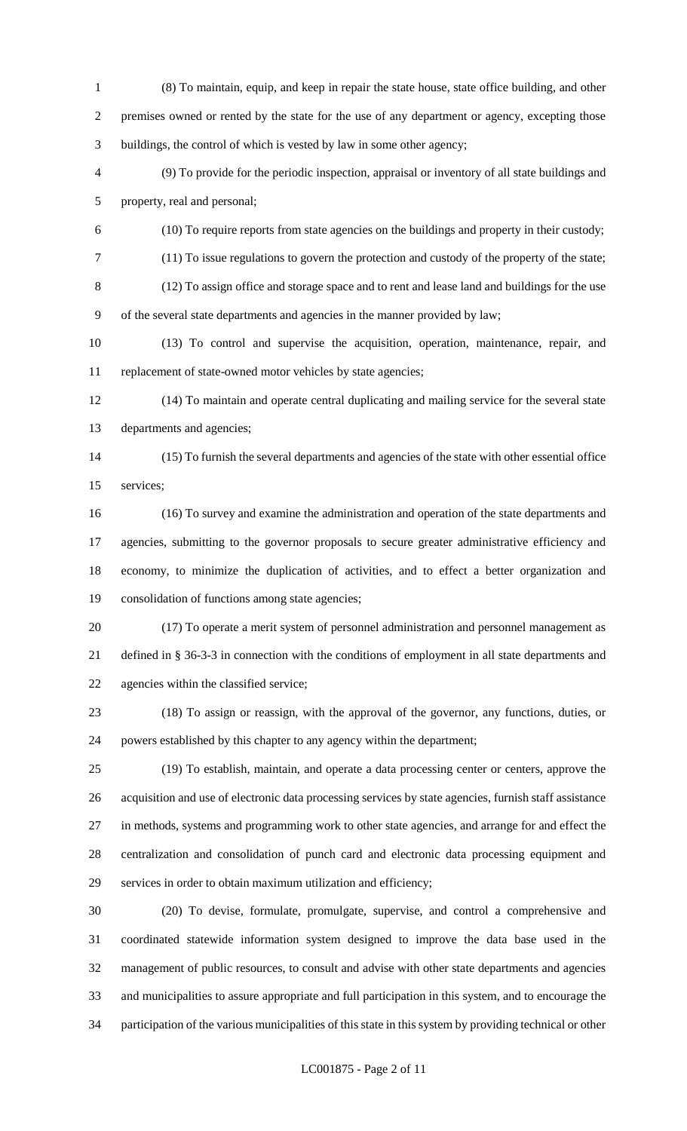- (8) To maintain, equip, and keep in repair the state house, state office building, and other premises owned or rented by the state for the use of any department or agency, excepting those buildings, the control of which is vested by law in some other agency;
- (9) To provide for the periodic inspection, appraisal or inventory of all state buildings and property, real and personal;
- (10) To require reports from state agencies on the buildings and property in their custody;
- (11) To issue regulations to govern the protection and custody of the property of the state;
- (12) To assign office and storage space and to rent and lease land and buildings for the use of the several state departments and agencies in the manner provided by law;
- (13) To control and supervise the acquisition, operation, maintenance, repair, and replacement of state-owned motor vehicles by state agencies;
- (14) To maintain and operate central duplicating and mailing service for the several state departments and agencies;
- (15) To furnish the several departments and agencies of the state with other essential office services;
- (16) To survey and examine the administration and operation of the state departments and agencies, submitting to the governor proposals to secure greater administrative efficiency and economy, to minimize the duplication of activities, and to effect a better organization and consolidation of functions among state agencies;
- (17) To operate a merit system of personnel administration and personnel management as defined in § 36-3-3 in connection with the conditions of employment in all state departments and agencies within the classified service;
- (18) To assign or reassign, with the approval of the governor, any functions, duties, or powers established by this chapter to any agency within the department;
- (19) To establish, maintain, and operate a data processing center or centers, approve the acquisition and use of electronic data processing services by state agencies, furnish staff assistance in methods, systems and programming work to other state agencies, and arrange for and effect the centralization and consolidation of punch card and electronic data processing equipment and services in order to obtain maximum utilization and efficiency;
- (20) To devise, formulate, promulgate, supervise, and control a comprehensive and coordinated statewide information system designed to improve the data base used in the management of public resources, to consult and advise with other state departments and agencies and municipalities to assure appropriate and full participation in this system, and to encourage the participation of the various municipalities of this state in this system by providing technical or other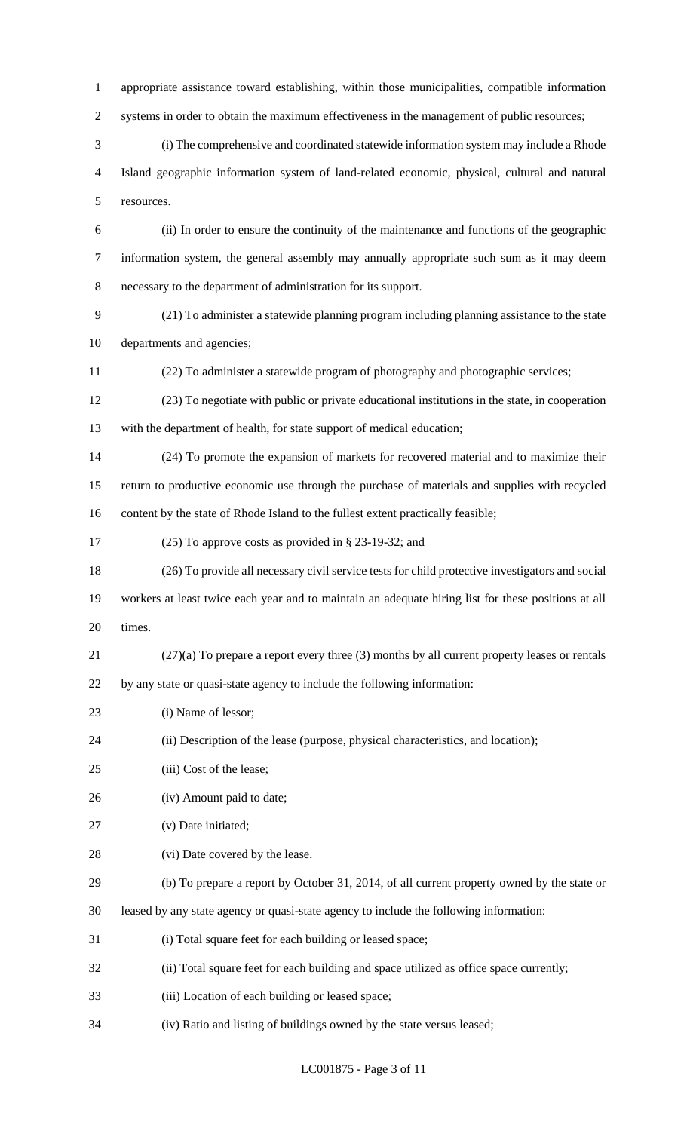appropriate assistance toward establishing, within those municipalities, compatible information 2 systems in order to obtain the maximum effectiveness in the management of public resources; (i) The comprehensive and coordinated statewide information system may include a Rhode Island geographic information system of land-related economic, physical, cultural and natural resources. (ii) In order to ensure the continuity of the maintenance and functions of the geographic information system, the general assembly may annually appropriate such sum as it may deem necessary to the department of administration for its support. (21) To administer a statewide planning program including planning assistance to the state departments and agencies; (22) To administer a statewide program of photography and photographic services; (23) To negotiate with public or private educational institutions in the state, in cooperation with the department of health, for state support of medical education; (24) To promote the expansion of markets for recovered material and to maximize their return to productive economic use through the purchase of materials and supplies with recycled content by the state of Rhode Island to the fullest extent practically feasible; (25) To approve costs as provided in § 23-19-32; and (26) To provide all necessary civil service tests for child protective investigators and social workers at least twice each year and to maintain an adequate hiring list for these positions at all times. (27)(a) To prepare a report every three (3) months by all current property leases or rentals by any state or quasi-state agency to include the following information: 23 (i) Name of lessor; (ii) Description of the lease (purpose, physical characteristics, and location); (iii) Cost of the lease; (iv) Amount paid to date; (v) Date initiated; 28 (vi) Date covered by the lease. (b) To prepare a report by October 31, 2014, of all current property owned by the state or leased by any state agency or quasi-state agency to include the following information: (i) Total square feet for each building or leased space; (ii) Total square feet for each building and space utilized as office space currently; (iii) Location of each building or leased space;

(iv) Ratio and listing of buildings owned by the state versus leased;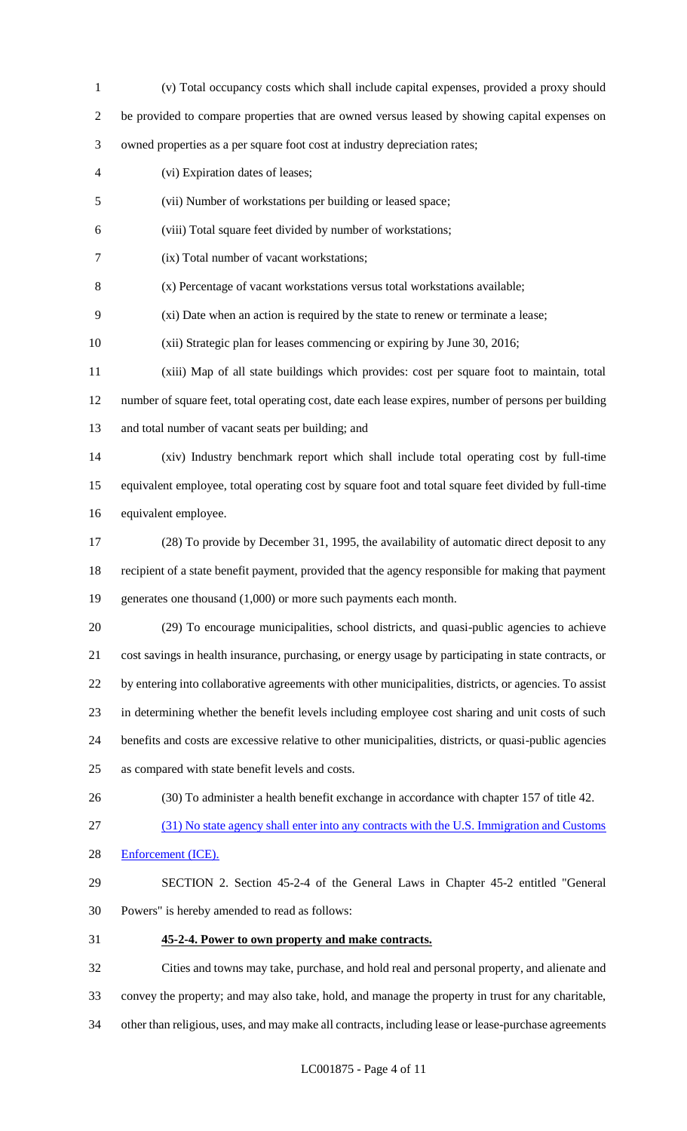(v) Total occupancy costs which shall include capital expenses, provided a proxy should be provided to compare properties that are owned versus leased by showing capital expenses on owned properties as a per square foot cost at industry depreciation rates; (vi) Expiration dates of leases; (vii) Number of workstations per building or leased space; (viii) Total square feet divided by number of workstations; (ix) Total number of vacant workstations; (x) Percentage of vacant workstations versus total workstations available; (xi) Date when an action is required by the state to renew or terminate a lease; (xii) Strategic plan for leases commencing or expiring by June 30, 2016; (xiii) Map of all state buildings which provides: cost per square foot to maintain, total number of square feet, total operating cost, date each lease expires, number of persons per building and total number of vacant seats per building; and (xiv) Industry benchmark report which shall include total operating cost by full-time equivalent employee, total operating cost by square foot and total square feet divided by full-time equivalent employee. (28) To provide by December 31, 1995, the availability of automatic direct deposit to any recipient of a state benefit payment, provided that the agency responsible for making that payment 19 generates one thousand (1,000) or more such payments each month. (29) To encourage municipalities, school districts, and quasi-public agencies to achieve cost savings in health insurance, purchasing, or energy usage by participating in state contracts, or by entering into collaborative agreements with other municipalities, districts, or agencies. To assist in determining whether the benefit levels including employee cost sharing and unit costs of such benefits and costs are excessive relative to other municipalities, districts, or quasi-public agencies as compared with state benefit levels and costs. (30) To administer a health benefit exchange in accordance with chapter 157 of title 42. (31) No state agency shall enter into any contracts with the U.S. Immigration and Customs Enforcement (ICE). SECTION 2. Section 45-2-4 of the General Laws in Chapter 45-2 entitled "General Powers" is hereby amended to read as follows: **45-2-4. Power to own property and make contracts.** Cities and towns may take, purchase, and hold real and personal property, and alienate and convey the property; and may also take, hold, and manage the property in trust for any charitable, other than religious, uses, and may make all contracts, including lease or lease-purchase agreements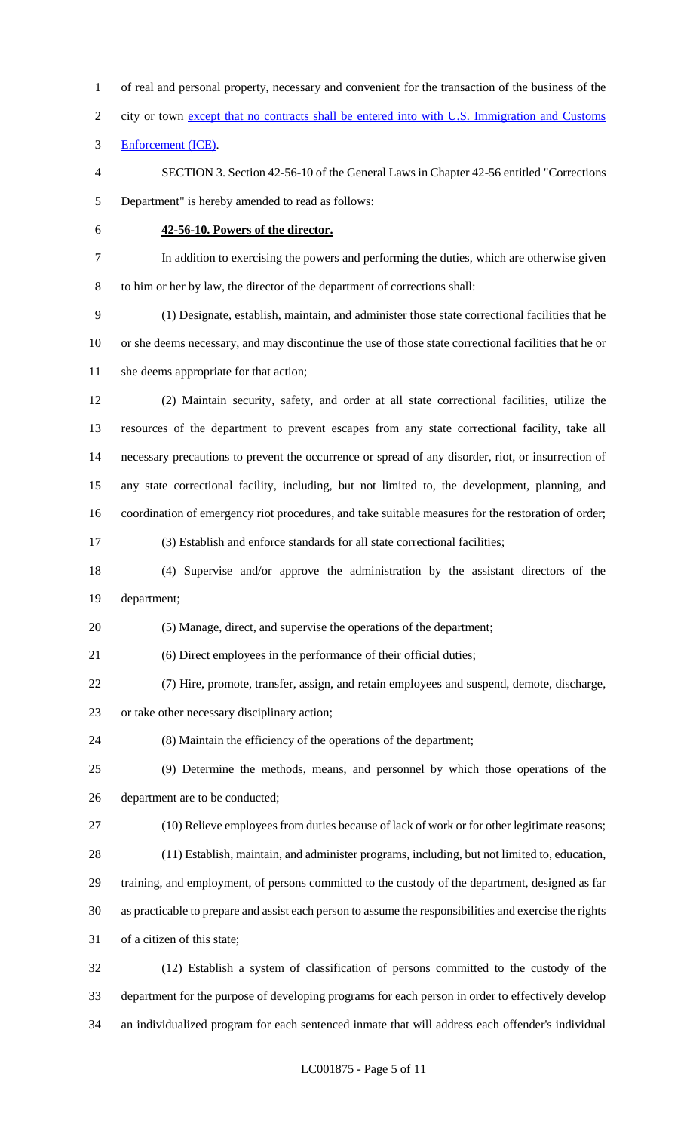2 city or town except that no contracts shall be entered into with U.S. Immigration and Customs Enforcement (ICE). SECTION 3. Section 42-56-10 of the General Laws in Chapter 42-56 entitled "Corrections Department" is hereby amended to read as follows: **42-56-10. Powers of the director.** In addition to exercising the powers and performing the duties, which are otherwise given to him or her by law, the director of the department of corrections shall: (1) Designate, establish, maintain, and administer those state correctional facilities that he or she deems necessary, and may discontinue the use of those state correctional facilities that he or 11 she deems appropriate for that action; (2) Maintain security, safety, and order at all state correctional facilities, utilize the resources of the department to prevent escapes from any state correctional facility, take all necessary precautions to prevent the occurrence or spread of any disorder, riot, or insurrection of any state correctional facility, including, but not limited to, the development, planning, and coordination of emergency riot procedures, and take suitable measures for the restoration of order; (3) Establish and enforce standards for all state correctional facilities; (4) Supervise and/or approve the administration by the assistant directors of the department; (5) Manage, direct, and supervise the operations of the department; (6) Direct employees in the performance of their official duties; (7) Hire, promote, transfer, assign, and retain employees and suspend, demote, discharge, or take other necessary disciplinary action; (8) Maintain the efficiency of the operations of the department; (9) Determine the methods, means, and personnel by which those operations of the department are to be conducted; (10) Relieve employees from duties because of lack of work or for other legitimate reasons; (11) Establish, maintain, and administer programs, including, but not limited to, education, training, and employment, of persons committed to the custody of the department, designed as far as practicable to prepare and assist each person to assume the responsibilities and exercise the rights of a citizen of this state; (12) Establish a system of classification of persons committed to the custody of the department for the purpose of developing programs for each person in order to effectively develop

of real and personal property, necessary and convenient for the transaction of the business of the

an individualized program for each sentenced inmate that will address each offender's individual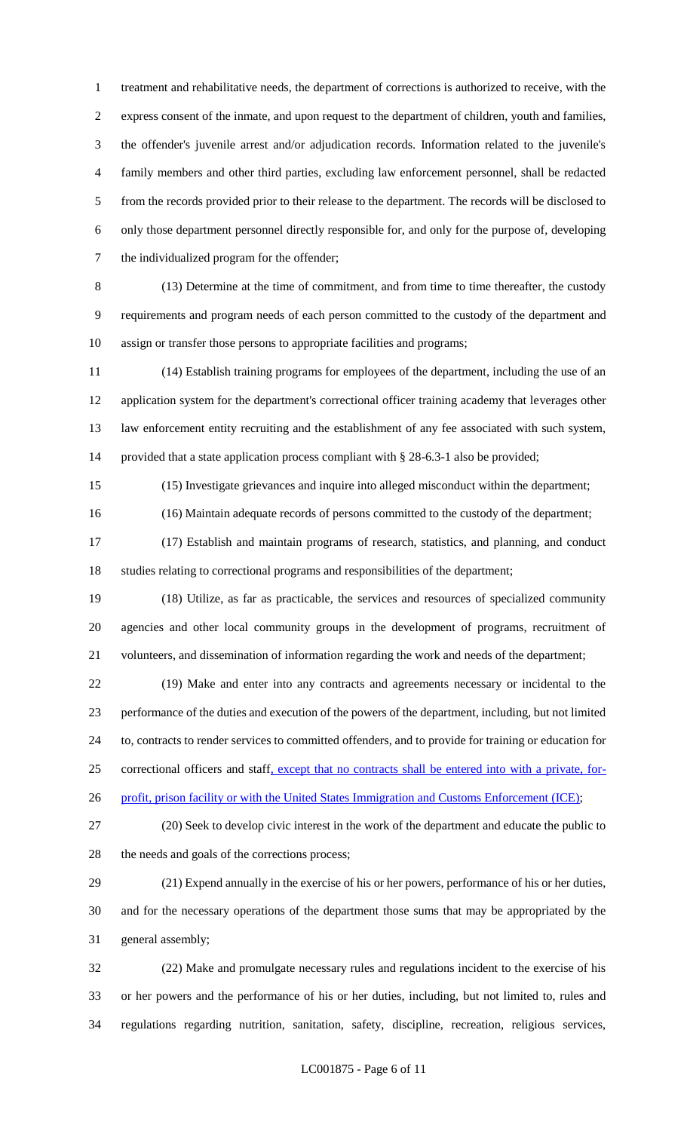treatment and rehabilitative needs, the department of corrections is authorized to receive, with the express consent of the inmate, and upon request to the department of children, youth and families, the offender's juvenile arrest and/or adjudication records. Information related to the juvenile's family members and other third parties, excluding law enforcement personnel, shall be redacted from the records provided prior to their release to the department. The records will be disclosed to only those department personnel directly responsible for, and only for the purpose of, developing the individualized program for the offender;

 (13) Determine at the time of commitment, and from time to time thereafter, the custody requirements and program needs of each person committed to the custody of the department and assign or transfer those persons to appropriate facilities and programs;

 (14) Establish training programs for employees of the department, including the use of an application system for the department's correctional officer training academy that leverages other law enforcement entity recruiting and the establishment of any fee associated with such system, provided that a state application process compliant with § 28-6.3-1 also be provided;

(15) Investigate grievances and inquire into alleged misconduct within the department;

(16) Maintain adequate records of persons committed to the custody of the department;

 (17) Establish and maintain programs of research, statistics, and planning, and conduct studies relating to correctional programs and responsibilities of the department;

 (18) Utilize, as far as practicable, the services and resources of specialized community agencies and other local community groups in the development of programs, recruitment of volunteers, and dissemination of information regarding the work and needs of the department;

 (19) Make and enter into any contracts and agreements necessary or incidental to the performance of the duties and execution of the powers of the department, including, but not limited to, contracts to render services to committed offenders, and to provide for training or education for correctional officers and staff, except that no contracts shall be entered into with a private, for-

26 profit, prison facility or with the United States Immigration and Customs Enforcement (ICE);

 (20) Seek to develop civic interest in the work of the department and educate the public to 28 the needs and goals of the corrections process;

 (21) Expend annually in the exercise of his or her powers, performance of his or her duties, and for the necessary operations of the department those sums that may be appropriated by the general assembly;

 (22) Make and promulgate necessary rules and regulations incident to the exercise of his or her powers and the performance of his or her duties, including, but not limited to, rules and regulations regarding nutrition, sanitation, safety, discipline, recreation, religious services,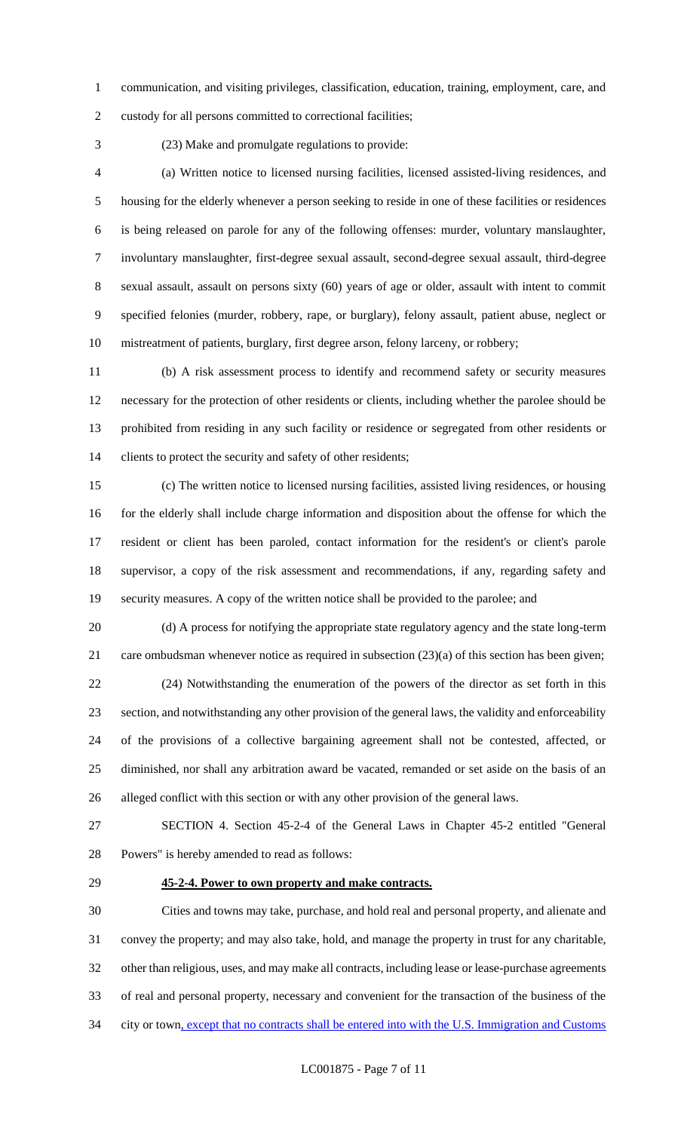communication, and visiting privileges, classification, education, training, employment, care, and

custody for all persons committed to correctional facilities;

(23) Make and promulgate regulations to provide:

 (a) Written notice to licensed nursing facilities, licensed assisted-living residences, and housing for the elderly whenever a person seeking to reside in one of these facilities or residences is being released on parole for any of the following offenses: murder, voluntary manslaughter, involuntary manslaughter, first-degree sexual assault, second-degree sexual assault, third-degree sexual assault, assault on persons sixty (60) years of age or older, assault with intent to commit specified felonies (murder, robbery, rape, or burglary), felony assault, patient abuse, neglect or mistreatment of patients, burglary, first degree arson, felony larceny, or robbery;

 (b) A risk assessment process to identify and recommend safety or security measures necessary for the protection of other residents or clients, including whether the parolee should be prohibited from residing in any such facility or residence or segregated from other residents or clients to protect the security and safety of other residents;

 (c) The written notice to licensed nursing facilities, assisted living residences, or housing for the elderly shall include charge information and disposition about the offense for which the resident or client has been paroled, contact information for the resident's or client's parole supervisor, a copy of the risk assessment and recommendations, if any, regarding safety and security measures. A copy of the written notice shall be provided to the parolee; and

 (d) A process for notifying the appropriate state regulatory agency and the state long-term care ombudsman whenever notice as required in subsection (23)(a) of this section has been given; (24) Notwithstanding the enumeration of the powers of the director as set forth in this section, and notwithstanding any other provision of the general laws, the validity and enforceability of the provisions of a collective bargaining agreement shall not be contested, affected, or diminished, nor shall any arbitration award be vacated, remanded or set aside on the basis of an alleged conflict with this section or with any other provision of the general laws.

 SECTION 4. Section 45-2-4 of the General Laws in Chapter 45-2 entitled "General Powers" is hereby amended to read as follows:

### **45-2-4. Power to own property and make contracts.**

 Cities and towns may take, purchase, and hold real and personal property, and alienate and convey the property; and may also take, hold, and manage the property in trust for any charitable, other than religious, uses, and may make all contracts, including lease or lease-purchase agreements of real and personal property, necessary and convenient for the transaction of the business of the 34 city or town, except that no contracts shall be entered into with the U.S. Immigration and Customs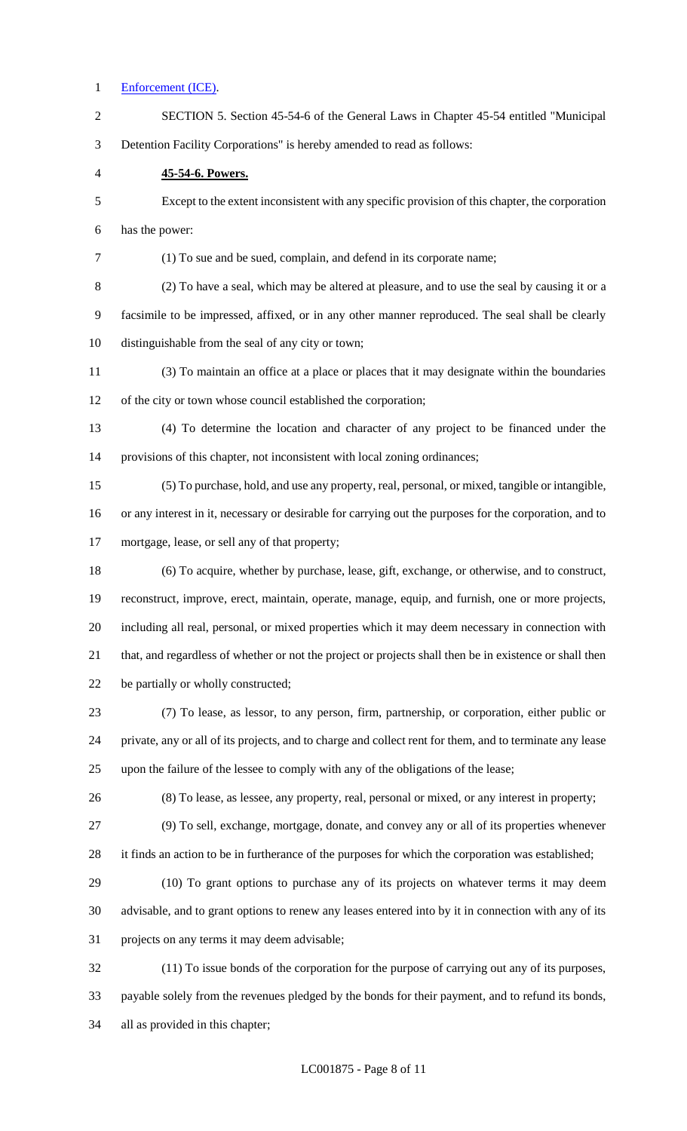#### Enforcement (ICE).

 SECTION 5. Section 45-54-6 of the General Laws in Chapter 45-54 entitled "Municipal Detention Facility Corporations" is hereby amended to read as follows: **45-54-6. Powers.** Except to the extent inconsistent with any specific provision of this chapter, the corporation has the power: (1) To sue and be sued, complain, and defend in its corporate name; (2) To have a seal, which may be altered at pleasure, and to use the seal by causing it or a facsimile to be impressed, affixed, or in any other manner reproduced. The seal shall be clearly distinguishable from the seal of any city or town; (3) To maintain an office at a place or places that it may designate within the boundaries of the city or town whose council established the corporation; (4) To determine the location and character of any project to be financed under the provisions of this chapter, not inconsistent with local zoning ordinances; (5) To purchase, hold, and use any property, real, personal, or mixed, tangible or intangible, or any interest in it, necessary or desirable for carrying out the purposes for the corporation, and to mortgage, lease, or sell any of that property; (6) To acquire, whether by purchase, lease, gift, exchange, or otherwise, and to construct, reconstruct, improve, erect, maintain, operate, manage, equip, and furnish, one or more projects, including all real, personal, or mixed properties which it may deem necessary in connection with that, and regardless of whether or not the project or projects shall then be in existence or shall then be partially or wholly constructed; (7) To lease, as lessor, to any person, firm, partnership, or corporation, either public or private, any or all of its projects, and to charge and collect rent for them, and to terminate any lease upon the failure of the lessee to comply with any of the obligations of the lease; (8) To lease, as lessee, any property, real, personal or mixed, or any interest in property; (9) To sell, exchange, mortgage, donate, and convey any or all of its properties whenever it finds an action to be in furtherance of the purposes for which the corporation was established; (10) To grant options to purchase any of its projects on whatever terms it may deem advisable, and to grant options to renew any leases entered into by it in connection with any of its projects on any terms it may deem advisable; (11) To issue bonds of the corporation for the purpose of carrying out any of its purposes,

payable solely from the revenues pledged by the bonds for their payment, and to refund its bonds,

all as provided in this chapter;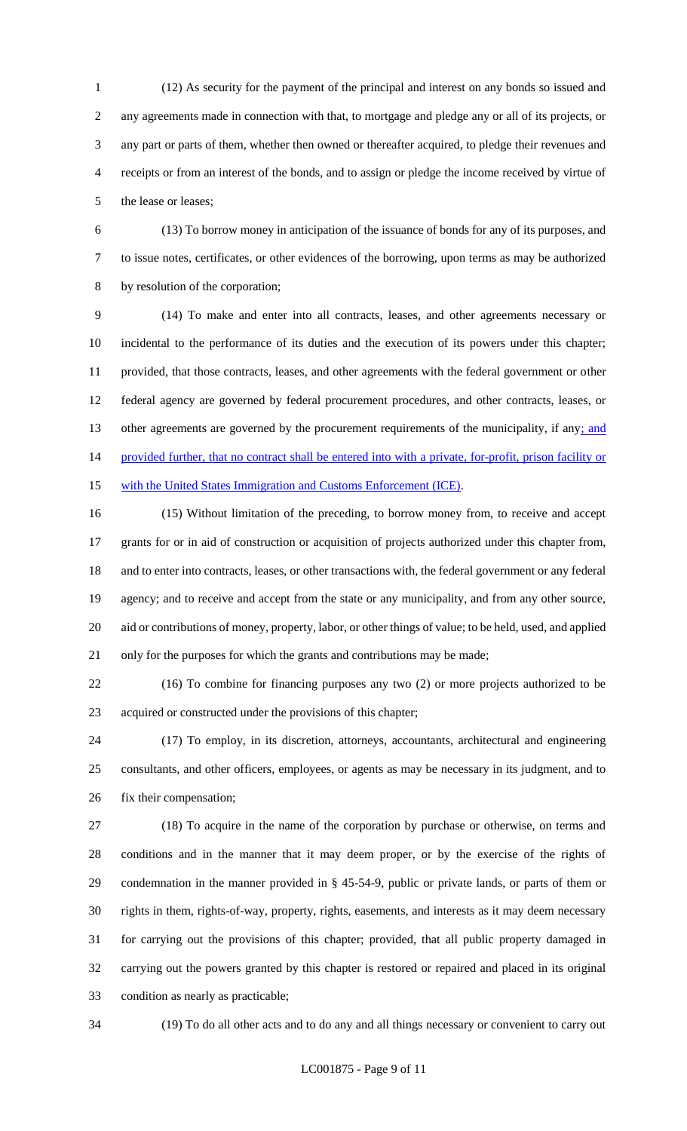(12) As security for the payment of the principal and interest on any bonds so issued and any agreements made in connection with that, to mortgage and pledge any or all of its projects, or any part or parts of them, whether then owned or thereafter acquired, to pledge their revenues and receipts or from an interest of the bonds, and to assign or pledge the income received by virtue of the lease or leases;

 (13) To borrow money in anticipation of the issuance of bonds for any of its purposes, and to issue notes, certificates, or other evidences of the borrowing, upon terms as may be authorized by resolution of the corporation;

 (14) To make and enter into all contracts, leases, and other agreements necessary or incidental to the performance of its duties and the execution of its powers under this chapter; provided, that those contracts, leases, and other agreements with the federal government or other federal agency are governed by federal procurement procedures, and other contracts, leases, or 13 other agreements are governed by the procurement requirements of the municipality, if any; and 14 provided further, that no contract shall be entered into with a private, for-profit, prison facility or 15 with the United States Immigration and Customs Enforcement (ICE).

 (15) Without limitation of the preceding, to borrow money from, to receive and accept grants for or in aid of construction or acquisition of projects authorized under this chapter from, and to enter into contracts, leases, or other transactions with, the federal government or any federal agency; and to receive and accept from the state or any municipality, and from any other source, aid or contributions of money, property, labor, or other things of value; to be held, used, and applied only for the purposes for which the grants and contributions may be made;

 (16) To combine for financing purposes any two (2) or more projects authorized to be acquired or constructed under the provisions of this chapter;

 (17) To employ, in its discretion, attorneys, accountants, architectural and engineering consultants, and other officers, employees, or agents as may be necessary in its judgment, and to fix their compensation;

 (18) To acquire in the name of the corporation by purchase or otherwise, on terms and conditions and in the manner that it may deem proper, or by the exercise of the rights of condemnation in the manner provided in § 45-54-9, public or private lands, or parts of them or rights in them, rights-of-way, property, rights, easements, and interests as it may deem necessary for carrying out the provisions of this chapter; provided, that all public property damaged in carrying out the powers granted by this chapter is restored or repaired and placed in its original condition as nearly as practicable;

(19) To do all other acts and to do any and all things necessary or convenient to carry out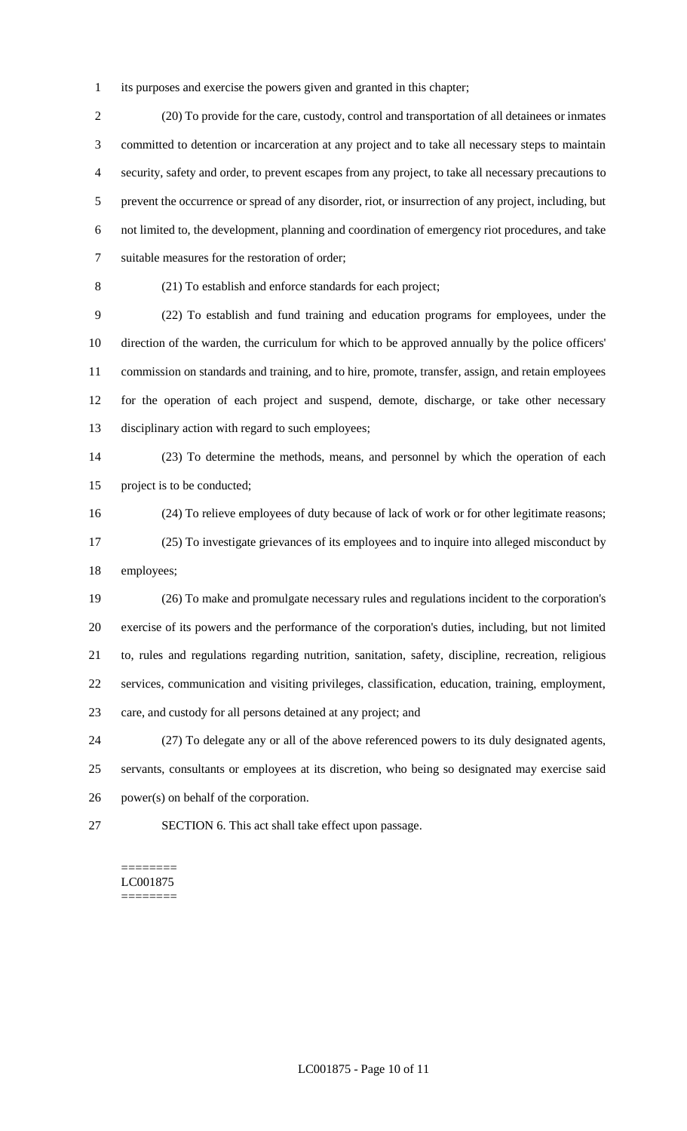its purposes and exercise the powers given and granted in this chapter;

 (20) To provide for the care, custody, control and transportation of all detainees or inmates committed to detention or incarceration at any project and to take all necessary steps to maintain security, safety and order, to prevent escapes from any project, to take all necessary precautions to prevent the occurrence or spread of any disorder, riot, or insurrection of any project, including, but not limited to, the development, planning and coordination of emergency riot procedures, and take suitable measures for the restoration of order;

(21) To establish and enforce standards for each project;

 (22) To establish and fund training and education programs for employees, under the direction of the warden, the curriculum for which to be approved annually by the police officers' commission on standards and training, and to hire, promote, transfer, assign, and retain employees for the operation of each project and suspend, demote, discharge, or take other necessary disciplinary action with regard to such employees;

 (23) To determine the methods, means, and personnel by which the operation of each project is to be conducted;

(24) To relieve employees of duty because of lack of work or for other legitimate reasons;

 (25) To investigate grievances of its employees and to inquire into alleged misconduct by employees;

 (26) To make and promulgate necessary rules and regulations incident to the corporation's exercise of its powers and the performance of the corporation's duties, including, but not limited to, rules and regulations regarding nutrition, sanitation, safety, discipline, recreation, religious services, communication and visiting privileges, classification, education, training, employment, care, and custody for all persons detained at any project; and

 (27) To delegate any or all of the above referenced powers to its duly designated agents, servants, consultants or employees at its discretion, who being so designated may exercise said power(s) on behalf of the corporation.

SECTION 6. This act shall take effect upon passage.

#### ======== LC001875 ========